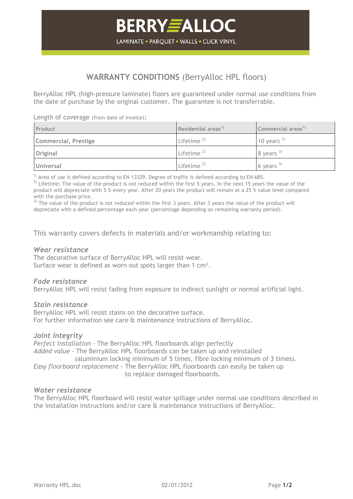# **WARRANTY CONDITIONS** (BerryAlloc HPL floors)

BerryAlloc HPL (high-pressure laminate) floors are guaranteed under normal use conditions from the date of purchase by the original customer. The guarantee is not transferrable.

Length of coverage (from date of invoice):

| Product              | Residential areas <sup>1)</sup> | Commercial areas <sup>1)</sup> |
|----------------------|---------------------------------|--------------------------------|
| Commercial, Prestige | Lifetime $^{2)}$                | 10 years $3$                   |
| Original             | Lifetime $^{2)}$                | 8 years $3)$                   |
| <b>Universal</b>     | Lifetime $^{2)}$                | 6 years $3$                    |

 $1)$  Area of use is defined according to EN 13329. Degree of traffic is defined according to EN 685.

 $2)$  Lifetime: The value of the product is not reduced within the first 5 years. In the next 15 years the value of the product will depreciate with 5 % every year. After 20 years the product will remain at a 25 % value level compared with the purchase price.

 $3)$  The value of the product is not reduced within the first 3 years. After 3 years the value of the product will depreciate with a defined percentage each year (percentage depending on remaining warranty period).

This warranty covers defects in materials and/or workmanship relating to:

### *Wear resistance*

The decorative surface of BerryAlloc HPL will resist wear. Surface wear is defined as worn out spots larger than 1 cm<sup>2</sup>.

## *Fade resistance*

BerryAlloc HPL will resist fading from exposure to indirect sunlight or normal artificial light.

#### *Stain resistance*

BerryAlloc HPL will resist stains on the decorative surface. For further information see care & maintenance instructions of BerryAlloc.

## *Joint integrity*

*Perfect installation –* The BerryAlloc HPL floorboards align perfectly *Added value –* The BerryAlloc HPL floorboards can be taken up and reinstalled (aluminium locking minimum of 5 times, fibre locking minimum of 3 times). *Easy floorboard replacement –* The BerryAlloc HPL floorboards can easily be taken up to replace damaged floorboards.

## *Water resistance*

The BerryAlloc HPL floorboard will resist water spillage under normal use conditions described in the installation instructions and/or care & maintenance instructions of BerryAlloc.